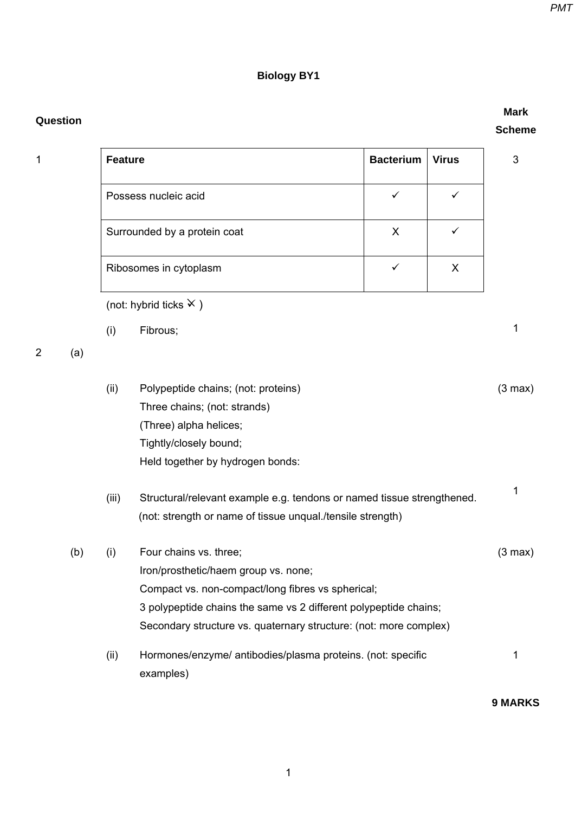## **Biology BY1**

| Question       |     |                |                                                                                                                                                                                                                                                              |                  |              | <b>Mark</b><br><b>Scheme</b> |
|----------------|-----|----------------|--------------------------------------------------------------------------------------------------------------------------------------------------------------------------------------------------------------------------------------------------------------|------------------|--------------|------------------------------|
| 1              |     | <b>Feature</b> |                                                                                                                                                                                                                                                              | <b>Bacterium</b> | <b>Virus</b> | 3                            |
|                |     |                | Possess nucleic acid                                                                                                                                                                                                                                         | $\checkmark$     | $\checkmark$ |                              |
|                |     |                | Surrounded by a protein coat                                                                                                                                                                                                                                 | X                | ✓            |                              |
|                |     |                | Ribosomes in cytoplasm                                                                                                                                                                                                                                       | $\checkmark$     | X            |                              |
|                |     |                | (not: hybrid ticks $\times$ )                                                                                                                                                                                                                                |                  |              |                              |
|                |     | (i)            | Fibrous;                                                                                                                                                                                                                                                     |                  |              | 1                            |
| $\overline{2}$ | (a) |                |                                                                                                                                                                                                                                                              |                  |              |                              |
|                |     | (ii)           | Polypeptide chains; (not: proteins)<br>Three chains; (not: strands)<br>(Three) alpha helices;<br>Tightly/closely bound;<br>Held together by hydrogen bonds:                                                                                                  |                  |              | $(3 \text{ max})$            |
|                |     | (iii)          | Structural/relevant example e.g. tendons or named tissue strengthened.<br>(not: strength or name of tissue unqual./tensile strength)                                                                                                                         |                  |              | 1                            |
|                | (b) | (i)            | Four chains vs. three;<br>Iron/prosthetic/haem group vs. none;<br>Compact vs. non-compact/long fibres vs spherical;<br>3 polypeptide chains the same vs 2 different polypeptide chains;<br>Secondary structure vs. quaternary structure: (not: more complex) |                  |              | $(3 \text{ max})$            |
|                |     | (ii)           | Hormones/enzyme/ antibodies/plasma proteins. (not: specific<br>examples)                                                                                                                                                                                     |                  |              | 1                            |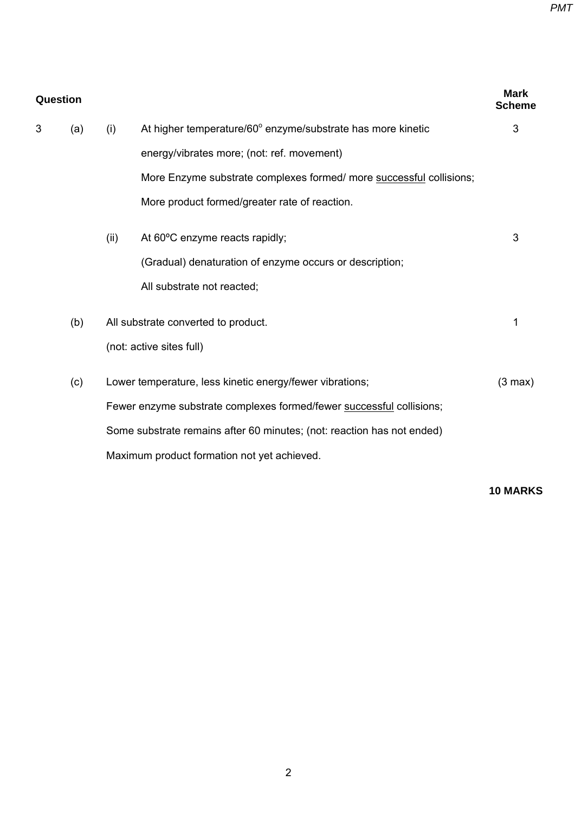| <b>Question</b> |     |      |                                                                        |                   |
|-----------------|-----|------|------------------------------------------------------------------------|-------------------|
| 3               | (a) | (i)  | At higher temperature/60° enzyme/substrate has more kinetic            | 3                 |
|                 |     |      | energy/vibrates more; (not: ref. movement)                             |                   |
|                 |     |      | More Enzyme substrate complexes formed/ more successful collisions;    |                   |
|                 |     |      | More product formed/greater rate of reaction.                          |                   |
|                 |     | (ii) | At 60°C enzyme reacts rapidly;                                         | 3                 |
|                 |     |      | (Gradual) denaturation of enzyme occurs or description;                |                   |
|                 |     |      | All substrate not reacted;                                             |                   |
|                 | (b) |      | All substrate converted to product.                                    | 1                 |
|                 |     |      | (not: active sites full)                                               |                   |
|                 | (c) |      | Lower temperature, less kinetic energy/fewer vibrations;               | $(3 \text{ max})$ |
|                 |     |      | Fewer enzyme substrate complexes formed/fewer successful collisions;   |                   |
|                 |     |      | Some substrate remains after 60 minutes; (not: reaction has not ended) |                   |
|                 |     |      | Maximum product formation not yet achieved.                            |                   |
|                 |     |      |                                                                        |                   |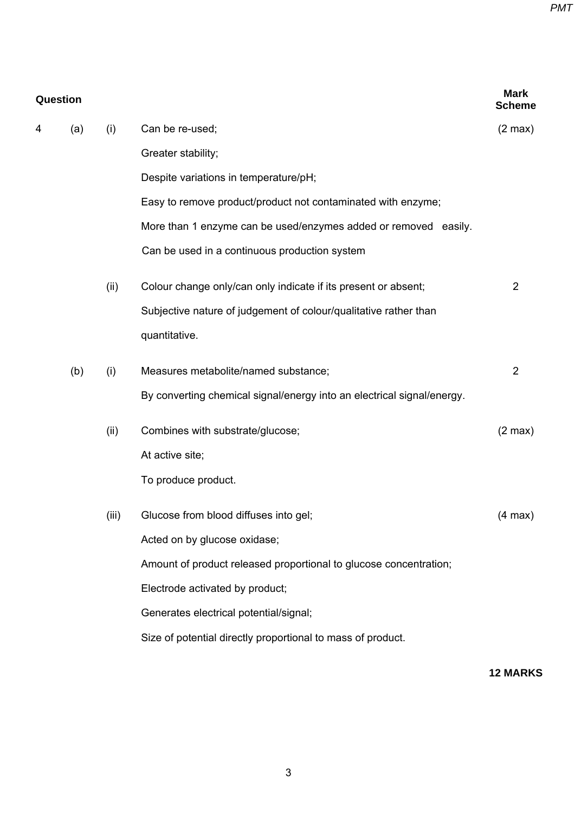| Question |     |       |                                                                        |                   |
|----------|-----|-------|------------------------------------------------------------------------|-------------------|
| 4        | (a) | (i)   | Can be re-used;                                                        | $(2 \text{ max})$ |
|          |     |       | Greater stability;                                                     |                   |
|          |     |       | Despite variations in temperature/pH;                                  |                   |
|          |     |       | Easy to remove product/product not contaminated with enzyme;           |                   |
|          |     |       | More than 1 enzyme can be used/enzymes added or removed easily.        |                   |
|          |     |       | Can be used in a continuous production system                          |                   |
|          |     | (ii)  | Colour change only/can only indicate if its present or absent;         | $\overline{2}$    |
|          |     |       | Subjective nature of judgement of colour/qualitative rather than       |                   |
|          |     |       | quantitative.                                                          |                   |
|          | (b) | (i)   | Measures metabolite/named substance;                                   | $\overline{2}$    |
|          |     |       | By converting chemical signal/energy into an electrical signal/energy. |                   |
|          |     | (ii)  | Combines with substrate/glucose;                                       | $(2 \text{ max})$ |
|          |     |       | At active site;                                                        |                   |
|          |     |       | To produce product.                                                    |                   |
|          |     | (iii) | Glucose from blood diffuses into gel;                                  | $(4 \text{ max})$ |
|          |     |       | Acted on by glucose oxidase;                                           |                   |
|          |     |       | Amount of product released proportional to glucose concentration;      |                   |
|          |     |       | Electrode activated by product;                                        |                   |
|          |     |       | Generates electrical potential/signal;                                 |                   |
|          |     |       | Size of potential directly proportional to mass of product.            |                   |
|          |     |       |                                                                        |                   |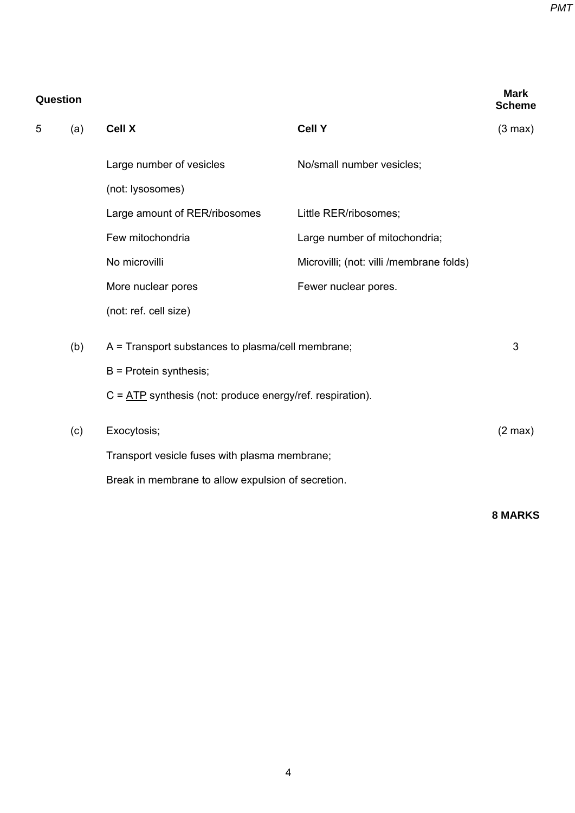*PMT*

| Question |     |                                                                                 |                                          |                   |  |
|----------|-----|---------------------------------------------------------------------------------|------------------------------------------|-------------------|--|
| 5        | (a) | <b>Cell X</b>                                                                   | <b>Cell Y</b>                            | $(3 \text{ max})$ |  |
|          |     | Large number of vesicles                                                        | No/small number vesicles;                |                   |  |
|          |     | (not: lysosomes)                                                                |                                          |                   |  |
|          |     | Large amount of RER/ribosomes                                                   | Little RER/ribosomes;                    |                   |  |
|          |     | Few mitochondria                                                                | Large number of mitochondria;            |                   |  |
|          |     | No microvilli                                                                   | Microvilli; (not: villi /membrane folds) |                   |  |
|          |     | More nuclear pores                                                              | Fewer nuclear pores.                     |                   |  |
|          |     | (not: ref. cell size)                                                           |                                          |                   |  |
|          | (b) | $A =$ Transport substances to plasma/cell membrane;<br>$B =$ Protein synthesis; |                                          |                   |  |
|          |     |                                                                                 |                                          |                   |  |
|          |     | $C = \underline{ATP}$ synthesis (not: produce energy/ref. respiration).         |                                          |                   |  |
|          | (c) | Exocytosis;                                                                     |                                          | $(2 \text{ max})$ |  |
|          |     | Transport vesicle fuses with plasma membrane;                                   |                                          |                   |  |
|          |     | Break in membrane to allow expulsion of secretion.                              |                                          |                   |  |
|          |     |                                                                                 |                                          |                   |  |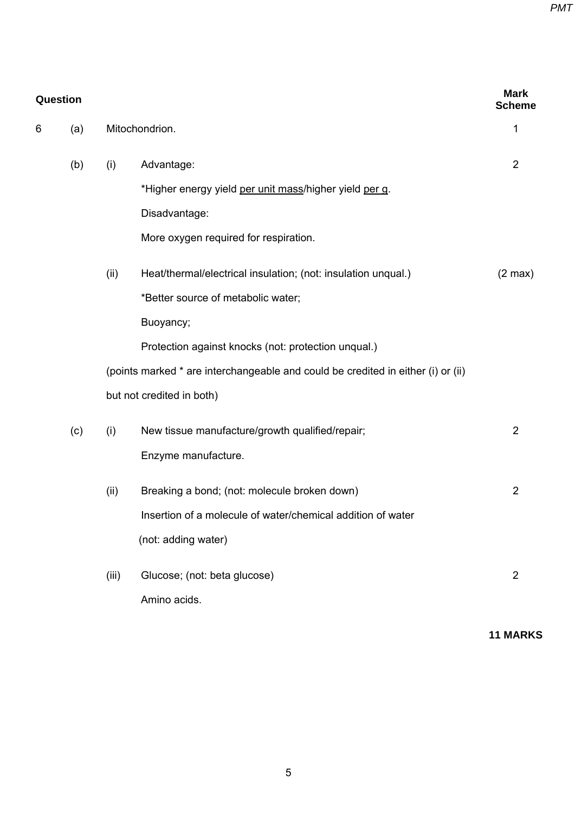| Question |     |                |                                                                                  |                   |
|----------|-----|----------------|----------------------------------------------------------------------------------|-------------------|
| 6<br>(a) |     | Mitochondrion. |                                                                                  |                   |
|          | (b) | (i)            | Advantage:                                                                       | $\overline{2}$    |
|          |     |                | *Higher energy yield per unit mass/higher yield per g.                           |                   |
|          |     |                | Disadvantage:                                                                    |                   |
|          |     |                | More oxygen required for respiration.                                            |                   |
|          |     | (ii)           | Heat/thermal/electrical insulation; (not: insulation unqual.)                    | $(2 \text{ max})$ |
|          |     |                | *Better source of metabolic water;                                               |                   |
|          |     |                | Buoyancy;                                                                        |                   |
|          |     |                | Protection against knocks (not: protection unqual.)                              |                   |
|          |     |                | (points marked * are interchangeable and could be credited in either (i) or (ii) |                   |
|          |     |                | but not credited in both)                                                        |                   |
|          | (c) | (i)            | New tissue manufacture/growth qualified/repair;                                  | $\overline{2}$    |
|          |     |                | Enzyme manufacture.                                                              |                   |
|          |     | (ii)           | Breaking a bond; (not: molecule broken down)                                     | $\overline{2}$    |
|          |     |                | Insertion of a molecule of water/chemical addition of water                      |                   |
|          |     |                | (not: adding water)                                                              |                   |
|          |     | (iii)          | Glucose; (not: beta glucose)                                                     | $\overline{2}$    |
|          |     |                | Amino acids.                                                                     |                   |
|          |     |                |                                                                                  |                   |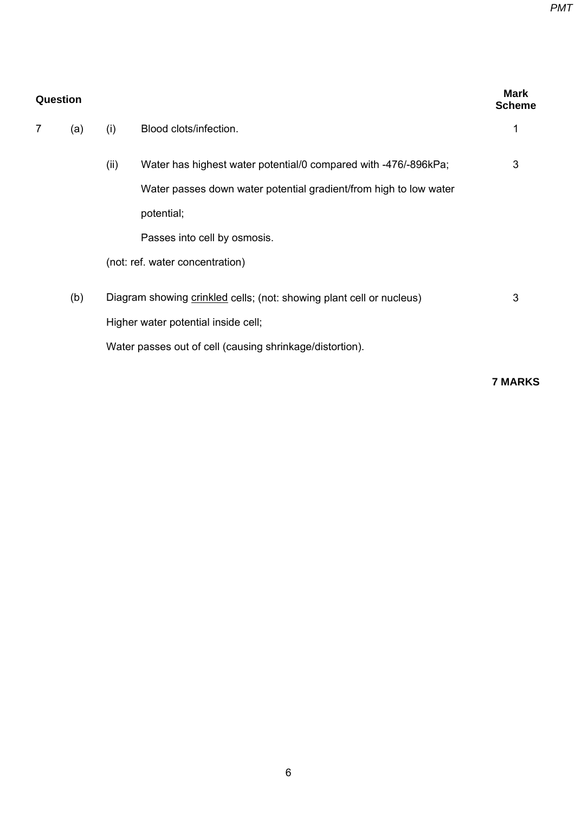| Question |     |      |                                                                      |   |
|----------|-----|------|----------------------------------------------------------------------|---|
| 7        | (a) | (i)  | Blood clots/infection.                                               |   |
|          |     | (ii) | Water has highest water potential/0 compared with -476/-896kPa;      | 3 |
|          |     |      | Water passes down water potential gradient/from high to low water    |   |
|          |     |      | potential;                                                           |   |
|          |     |      | Passes into cell by osmosis.                                         |   |
|          |     |      | (not: ref. water concentration)                                      |   |
|          | (b) |      | Diagram showing crinkled cells; (not: showing plant cell or nucleus) | 3 |
|          |     |      | Higher water potential inside cell;                                  |   |
|          |     |      | Water passes out of cell (causing shrinkage/distortion).             |   |
|          |     |      |                                                                      |   |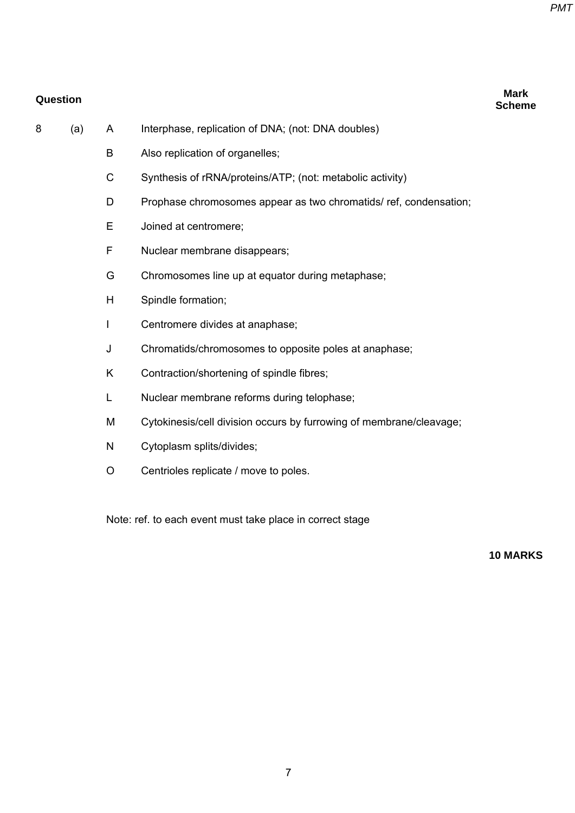**Scheme** 

## **Question Mark**

- 8 (a) A Interphase, replication of DNA; (not: DNA doubles)
	- B Also replication of organelles;
	- C Synthesis of rRNA/proteins/ATP; (not: metabolic activity)
	- D Prophase chromosomes appear as two chromatids/ ref, condensation;
	- E Joined at centromere;
	- F Nuclear membrane disappears;
	- G Chromosomes line up at equator during metaphase;
	- H Spindle formation;
	- I Centromere divides at anaphase;
	- J Chromatids/chromosomes to opposite poles at anaphase;
	- K Contraction/shortening of spindle fibres;
	- L Nuclear membrane reforms during telophase;
	- M Cytokinesis/cell division occurs by furrowing of membrane/cleavage;
	- N Cytoplasm splits/divides;
	- O Centrioles replicate / move to poles.

Note: ref. to each event must take place in correct stage